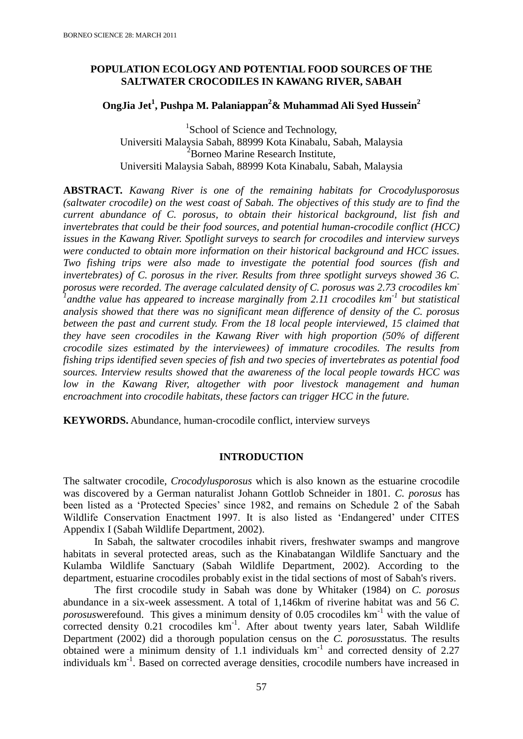## **POPULATION ECOLOGY AND POTENTIAL FOOD SOURCES OF THE SALTWATER CROCODILES IN KAWANG RIVER, SABAH**

# **OngJia Jet<sup>1</sup> , Pushpa M. Palaniappan<sup>2</sup>& Muhammad Ali Syed Hussein<sup>2</sup>**

<sup>1</sup>School of Science and Technology, Universiti Malaysia Sabah, 88999 Kota Kinabalu, Sabah, Malaysia <sup>2</sup>Borneo Marine Research Institute, Universiti Malaysia Sabah, 88999 Kota Kinabalu, Sabah, Malaysia

**ABSTRACT.** *Kawang River is one of the remaining habitats for Crocodylusporosus (saltwater crocodile) on the west coast of Sabah. The objectives of this study are to find the current abundance of C. porosus, to obtain their historical background, list fish and invertebrates that could be their food sources, and potential human-crocodile conflict (HCC) issues in the Kawang River. Spotlight surveys to search for crocodiles and interview surveys were conducted to obtain more information on their historical background and HCC issues. Two fishing trips were also made to investigate the potential food sources (fish and invertebrates) of C. porosus in the river. Results from three spotlight surveys showed 36 C. porosus were recorded. The average calculated density of C. porosus was 2.73 crocodiles km-1 andthe value has appeared to increase marginally from 2.11 crocodiles km-1 but statistical analysis showed that there was no significant mean difference of density of the C. porosus between the past and current study. From the 18 local people interviewed, 15 claimed that they have seen crocodiles in the Kawang River with high proportion (50% of different crocodile sizes estimated by the interviewees) of immature crocodiles. The results from fishing trips identified seven species of fish and two species of invertebrates as potential food sources. Interview results showed that the awareness of the local people towards HCC was*  low in the Kawang River, altogether with poor livestock management and human *encroachment into crocodile habitats, these factors can trigger HCC in the future.*

**KEYWORDS.** Abundance, human-crocodile conflict, interview surveys

### **INTRODUCTION**

The saltwater crocodile, *Crocodylusporosus* which is also known as the estuarine crocodile was discovered by a German naturalist Johann Gottlob Schneider in 1801. *C. porosus* has been listed as a 'Protected Species' since 1982, and remains on Schedule 2 of the Sabah Wildlife Conservation Enactment 1997. It is also listed as 'Endangered' under CITES Appendix I (Sabah Wildlife Department, 2002).

In Sabah, the saltwater crocodiles inhabit rivers, freshwater swamps and mangrove habitats in several protected areas, such as the Kinabatangan Wildlife Sanctuary and the Kulamba Wildlife Sanctuary (Sabah Wildlife Department, 2002). According to the department, estuarine crocodiles probably exist in the tidal sections of most of Sabah's rivers.

The first crocodile study in Sabah was done by Whitaker (1984) on *C. porosus* abundance in a six-week assessment. A total of 1,146km of riverine habitat was and 56 *C. porosus* werefound. This gives a minimum density of 0.05 crocodiles km<sup>-1</sup> with the value of corrected density 0.21 crocodiles km<sup>-1</sup>. After about twenty years later, Sabah Wildlife Department (2002) did a thorough population census on the *C. porosus*status*.* The results obtained were a minimum density of 1.1 individuals km-1 and corrected density of 2.27 individuals km<sup>-1</sup>. Based on corrected average densities, crocodile numbers have increased in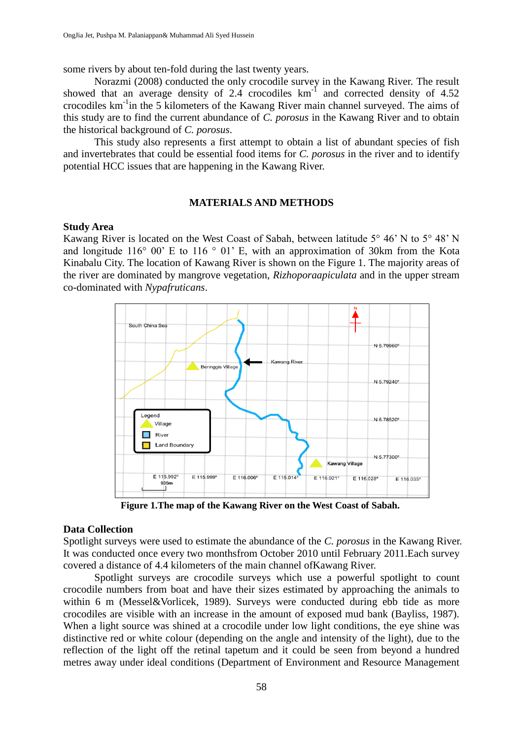some rivers by about ten-fold during the last twenty years.

Norazmi (2008) conducted the only crocodile survey in the Kawang River. The result showed that an average density of 2.4 crocodiles  $km<sup>-1</sup>$  and corrected density of 4.52 crocodiles km-1 in the 5 kilometers of the Kawang River main channel surveyed. The aims of this study are to find the current abundance of *C. porosus* in the Kawang River and to obtain the historical background of *C. porosus*.

This study also represents a first attempt to obtain a list of abundant species of fish and invertebrates that could be essential food items for *C. porosus* in the river and to identify potential HCC issues that are happening in the Kawang River.

### **MATERIALS AND METHODS**

### **Study Area**

Kawang River is located on the West Coast of Sabah, between latitude 5° 46' N to 5° 48' N and longitude 116 $\degree$  00 $\degree$  E to 116 $\degree$  01 $\degree$  E, with an approximation of 30km from the Kota Kinabalu City. The location of Kawang River is shown on the Figure 1. The majority areas of the river are dominated by mangrove vegetation, *Rizhoporaapiculata* and in the upper stream co-dominated with *Nypafruticans*.



**Figure 1.The map of the Kawang River on the West Coast of Sabah.**

#### **Data Collection**

Spotlight surveys were used to estimate the abundance of the *C. porosus* in the Kawang River. It was conducted once every two monthsfrom October 2010 until February 2011.Each survey covered a distance of 4.4 kilometers of the main channel ofKawang River.

Spotlight surveys are crocodile surveys which use a powerful spotlight to count crocodile numbers from boat and have their sizes estimated by approaching the animals to within 6 m (Messel&Vorlicek, 1989). Surveys were conducted during ebb tide as more crocodiles are visible with an increase in the amount of exposed mud bank (Bayliss, 1987). When a light source was shined at a crocodile under low light conditions, the eye shine was distinctive red or white colour (depending on the angle and intensity of the light), due to the reflection of the light off the retinal tapetum and it could be seen from beyond a hundred metres away under ideal conditions (Department of Environment and Resource Management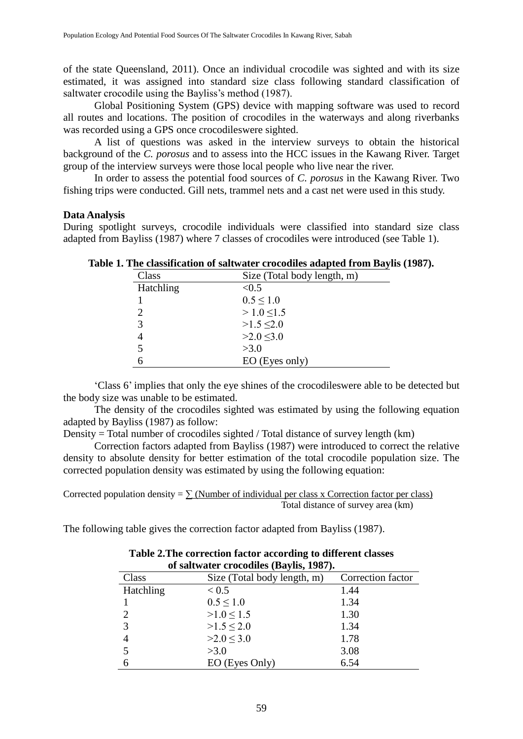of the state Queensland, 2011). Once an individual crocodile was sighted and with its size estimated, it was assigned into standard size class following standard classification of saltwater crocodile using the Bayliss's method (1987).

Global Positioning System (GPS) device with mapping software was used to record all routes and locations. The position of crocodiles in the waterways and along riverbanks was recorded using a GPS once crocodileswere sighted.

A list of questions was asked in the interview surveys to obtain the historical background of the *C. porosus* and to assess into the HCC issues in the Kawang River. Target group of the interview surveys were those local people who live near the river.

In order to assess the potential food sources of *C. porosus* in the Kawang River. Two fishing trips were conducted. Gill nets, trammel nets and a cast net were used in this study.

### **Data Analysis**

During spotlight surveys, crocodile individuals were classified into standard size class adapted from Bayliss (1987) where 7 classes of crocodiles were introduced (see Table 1).

| Class         | Size (Total body length, m) |
|---------------|-----------------------------|
| Hatchling     | < 0.5                       |
|               | $0.5 \leq 1.0$              |
| $\mathcal{D}$ | $>1.0$ <1.5                 |
| 3             | $>1.5 \le 2.0$              |
|               | $>2.0$ < 3.0                |
| 5             | >3.0                        |
|               | EO (Eyes only)              |

**Table 1. The classification of saltwater crocodiles adapted from Baylis (1987).**

'Class 6' implies that only the eye shines of the crocodileswere able to be detected but the body size was unable to be estimated.

The density of the crocodiles sighted was estimated by using the following equation adapted by Bayliss (1987) as follow:

Density = Total number of crocodiles sighted / Total distance of survey length (km)

Correction factors adapted from Bayliss (1987) were introduced to correct the relative density to absolute density for better estimation of the total crocodile population size. The corrected population density was estimated by using the following equation:

Corrected population density =  $\sum$  (Number of individual per class x Correction factor per class) Total distance of survey area (km)

The following table gives the correction factor adapted from Bayliss (1987).

| of saltwater crocodiles (Baylis, 1987). |                                                  |      |  |  |  |  |
|-----------------------------------------|--------------------------------------------------|------|--|--|--|--|
| Class                                   | Size (Total body length, m)<br>Correction factor |      |  |  |  |  |
| Hatchling                               | < 0.5                                            | 1.44 |  |  |  |  |
|                                         | $0.5 \leq 1.0$                                   | 1.34 |  |  |  |  |
| 2                                       | $>1.0 \le 1.5$                                   | 1.30 |  |  |  |  |
| 3                                       | $>1.5 \le 2.0$                                   | 1.34 |  |  |  |  |
| 4                                       | >2.0 < 3.0                                       | 1.78 |  |  |  |  |
| 5                                       | >3.0                                             | 3.08 |  |  |  |  |
| 6                                       | EO (Eyes Only)                                   | 6.54 |  |  |  |  |

**Table 2.The correction factor according to different classes of saltwater crocodiles (Baylis, 1987).**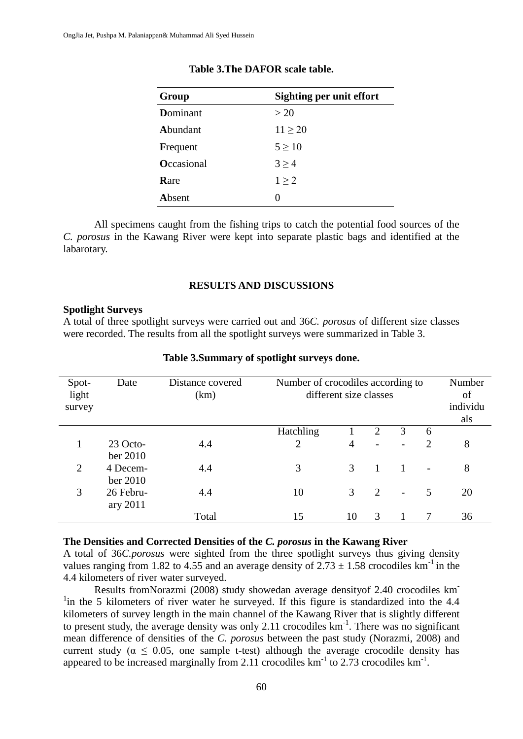| Group             | Sighting per unit effort |
|-------------------|--------------------------|
| Dominant          | >20                      |
| Abundant          | $11 \geq 20$             |
| Frequent          | $5 \geq 10$              |
| <b>Occasional</b> | $3 \geq 4$               |
| Rare              | 1 > 2                    |
| Absent            |                          |

#### **Table 3.The DAFOR scale table.**

All specimens caught from the fishing trips to catch the potential food sources of the *C. porosus* in the Kawang River were kept into separate plastic bags and identified at the labarotary.

### **RESULTS AND DISCUSSIONS**

### **Spotlight Surveys**

A total of three spotlight surveys were carried out and 36*C. porosus* of different size classes were recorded. The results from all the spotlight surveys were summarized in Table 3.

| Spot-<br>light<br>survey | Date      | Distance covered<br>(km) |                | Number of crocodiles according to<br>different size classes |                             | Number<br>of<br>individu<br>als |                |    |
|--------------------------|-----------|--------------------------|----------------|-------------------------------------------------------------|-----------------------------|---------------------------------|----------------|----|
|                          |           |                          | Hatchling      |                                                             | $\overline{2}$              | 3                               | 6              |    |
|                          | 23 Octo-  | 4.4                      | $\overline{2}$ | 4                                                           |                             |                                 | $\overline{2}$ | 8  |
|                          | ber 2010  |                          |                |                                                             |                             |                                 |                |    |
| 2                        | 4 Decem-  | 4.4                      | 3              | 3                                                           |                             |                                 | $\overline{a}$ | 8  |
|                          | ber 2010  |                          |                |                                                             |                             |                                 |                |    |
| 3                        | 26 Febru- | 4.4                      | 10             | 3                                                           | $\mathcal{D}_{\mathcal{L}}$ | $\overline{\phantom{a}}$        | 5              | 20 |
|                          | ary 2011  |                          |                |                                                             |                             |                                 |                |    |
|                          |           | Total                    | 15             | 10                                                          | 3                           |                                 | 7              | 36 |

### **Table 3.Summary of spotlight surveys done.**

### **The Densities and Corrected Densities of the** *C. porosus* **in the Kawang River**

A total of 36*C.porosus* were sighted from the three spotlight surveys thus giving density values ranging from 1.82 to 4.55 and an average density of  $2.73 \pm 1.58$  crocodiles km<sup>-1</sup> in the 4.4 kilometers of river water surveyed.

Results fromNorazmi (2008) study showedan average densityof 2.40 crocodiles km-<sup>1</sup>in the 5 kilometers of river water he surveyed. If this figure is standardized into the 4.4 kilometers of survey length in the main channel of the Kawang River that is slightly different to present study, the average density was only 2.11 crocodiles  $km<sup>-1</sup>$ . There was no significant mean difference of densities of the *C. porosus* between the past study (Norazmi, 2008) and current study ( $\alpha \leq 0.05$ , one sample t-test) although the average crocodile density has appeared to be increased marginally from 2.11 crocodiles  $km^{-1}$  to 2.73 crocodiles  $km^{-1}$ .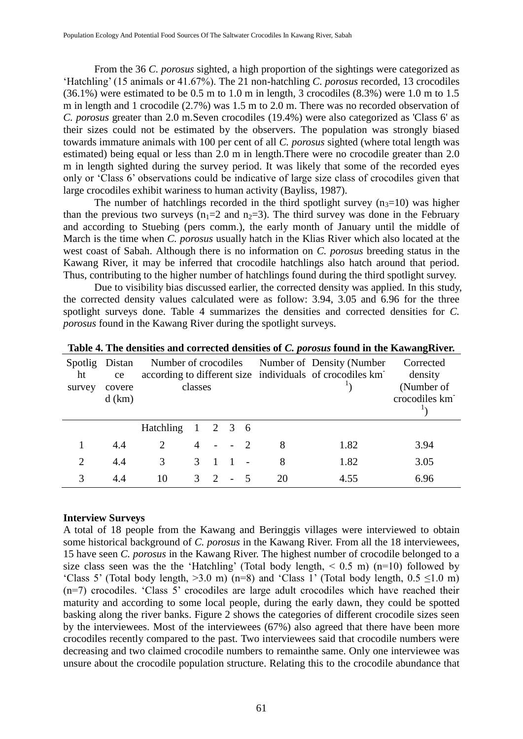From the 36 *C. porosus* sighted, a high proportion of the sightings were categorized as 'Hatchling' (15 animals or 41.67%). The 21 non-hatchling *C. porosus* recorded, 13 crocodiles  $(36.1\%)$  were estimated to be 0.5 m to 1.0 m in length, 3 crocodiles  $(8.3\%)$  were 1.0 m to 1.5 m in length and 1 crocodile (2.7%) was 1.5 m to 2.0 m. There was no recorded observation of *C. porosus* greater than 2.0 m.Seven crocodiles (19.4%) were also categorized as 'Class 6' as their sizes could not be estimated by the observers. The population was strongly biased towards immature animals with 100 per cent of all *C. porosus* sighted (where total length was estimated) being equal or less than 2.0 m in length.There were no crocodile greater than 2.0 m in length sighted during the survey period. It was likely that some of the recorded eyes only or 'Class 6' observations could be indicative of large size class of crocodiles given that large crocodiles exhibit wariness to human activity (Bayliss, 1987).

The number of hatchlings recorded in the third spotlight survey  $(n<sub>3</sub>=10)$  was higher than the previous two surveys  $(n_1=2 \text{ and } n_2=3)$ . The third survey was done in the February and according to Stuebing (pers comm.), the early month of January until the middle of March is the time when *C. porosus* usually hatch in the Klias River which also located at the west coast of Sabah. Although there is no information on *C. porosus* breeding status in the Kawang River, it may be inferred that crocodile hatchlings also hatch around that period. Thus, contributing to the higher number of hatchlings found during the third spotlight survey.

Due to visibility bias discussed earlier, the corrected density was applied. In this study, the corrected density values calculated were as follow: 3.94, 3.05 and 6.96 for the three spotlight surveys done. Table 4 summarizes the densities and corrected densities for *C. porosus* found in the Kawang River during the spotlight surveys.

| Spotlig<br>ht<br>survey     | Distan<br>ce<br>covere<br>$d$ (km) | Number of crocodiles | classes         |                |                |      |    | Number of Density (Number<br>according to different size individuals of crocodiles km | Corrected<br>density<br>(Number of<br>crocodiles km |
|-----------------------------|------------------------------------|----------------------|-----------------|----------------|----------------|------|----|---------------------------------------------------------------------------------------|-----------------------------------------------------|
|                             |                                    | <b>Hatchling</b>     | $1 \t2 \t3 \t6$ |                |                |      |    |                                                                                       |                                                     |
|                             | 4.4                                | 2                    | 4               | $\sim$         |                | $-2$ | 8  | 1.82                                                                                  | 3.94                                                |
| $\mathcal{D}_{\mathcal{A}}$ | 4.4                                | 3                    | $\mathcal{F}$   |                |                |      | 8  | 1.82                                                                                  | 3.05                                                |
| 3                           | 4.4                                | 10                   | $\mathcal{F}$   | $\overline{2}$ | $\blacksquare$ |      | 20 | 4.55                                                                                  | 6.96                                                |

**Table 4. The densities and corrected densities of** *C. porosus* **found in the KawangRiver.**

### **Interview Surveys**

A total of 18 people from the Kawang and Beringgis villages were interviewed to obtain some historical background of *C. porosus* in the Kawang River. From all the 18 interviewees, 15 have seen *C. porosus* in the Kawang River. The highest number of crocodile belonged to a size class seen was the the 'Hatchling' (Total body length,  $\leq 0.5$  m) (n=10) followed by 'Class 5' (Total body length,  $>3.0$  m) (n=8) and 'Class 1' (Total body length,  $0.5 \le 1.0$  m)  $(n=7)$  crocodiles. 'Class  $\overline{5}$ ' crocodiles are large adult crocodiles which have reached their maturity and according to some local people, during the early dawn, they could be spotted basking along the river banks. Figure 2 shows the categories of different crocodile sizes seen by the interviewees. Most of the interviewees (67%) also agreed that there have been more crocodiles recently compared to the past. Two interviewees said that crocodile numbers were decreasing and two claimed crocodile numbers to remainthe same. Only one interviewee was unsure about the crocodile population structure. Relating this to the crocodile abundance that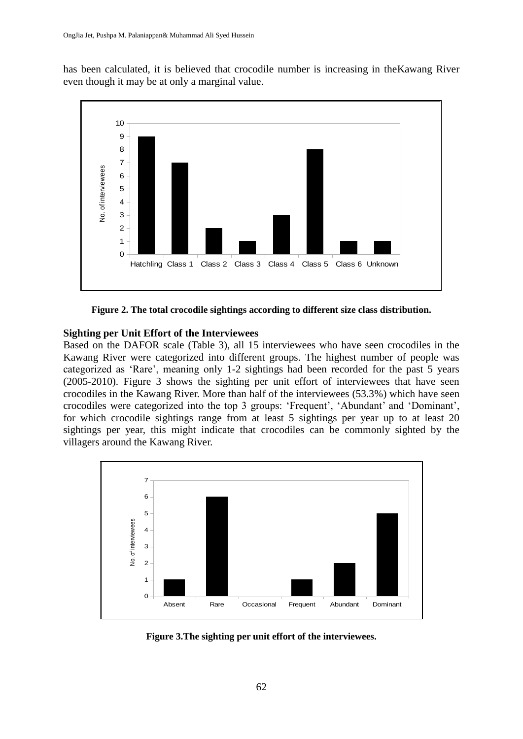has been calculated, it is believed that crocodile number is increasing in theKawang River even though it may be at only a marginal value.



**Figure 2. The total crocodile sightings according to different size class distribution.**

## **Sighting per Unit Effort of the Interviewees**

Based on the DAFOR scale (Table 3), all 15 interviewees who have seen crocodiles in the Kawang River were categorized into different groups. The highest number of people was categorized as 'Rare', meaning only 1-2 sightings had been recorded for the past 5 years (2005-2010). Figure 3 shows the sighting per unit effort of interviewees that have seen crocodiles in the Kawang River. More than half of the interviewees (53.3%) which have seen crocodiles were categorized into the top 3 groups: 'Frequent', 'Abundant' and 'Dominant', for which crocodile sightings range from at least 5 sightings per year up to at least 20 sightings per year, this might indicate that crocodiles can be commonly sighted by the villagers around the Kawang River.



**Figure 3.The sighting per unit effort of the interviewees.**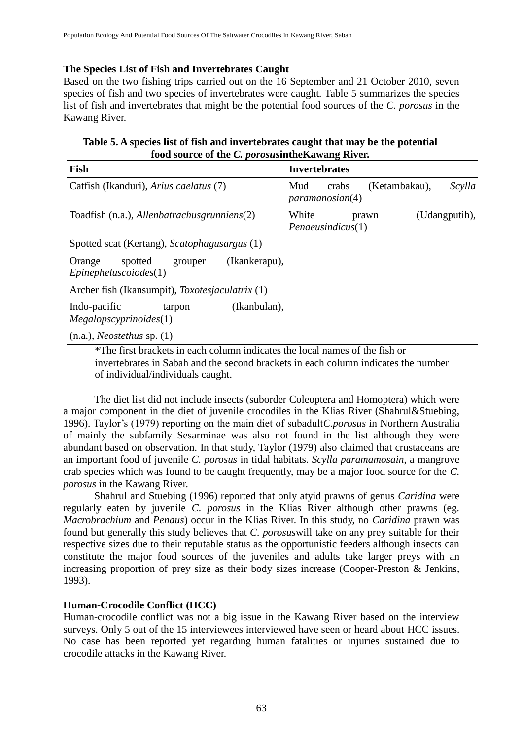## **The Species List of Fish and Invertebrates Caught**

Based on the two fishing trips carried out on the 16 September and 21 October 2010, seven species of fish and two species of invertebrates were caught. Table 5 summarizes the species list of fish and invertebrates that might be the potential food sources of the *C. porosus* in the Kawang River.

| Table 5. A species list of fish and invertebrates caught that may be the potential |
|------------------------------------------------------------------------------------|
| food source of the <i>C. porosus</i> in the Kawang River.                          |

| Fish                                                                           | <b>Invertebrates</b>                                       |  |  |  |  |  |  |
|--------------------------------------------------------------------------------|------------------------------------------------------------|--|--|--|--|--|--|
| Catfish (Ikanduri), Arius caelatus (7)                                         | (Ketambakau),<br>Scylla<br>Mud<br>crabs<br>paramanosian(4) |  |  |  |  |  |  |
| Toadfish (n.a.), Allenbatrachus grunniens(2)                                   | White<br>(Udangputih),<br>prawn<br>Pena eusindicus(1)      |  |  |  |  |  |  |
| Spotted scat (Kertang), Scatophagusargus (1)                                   |                                                            |  |  |  |  |  |  |
| (Ikankerapu),<br>spotted<br>Orange<br>grouper<br>Epinepheluscoiodes(1)         |                                                            |  |  |  |  |  |  |
| Archer fish (Ikansumpit), <i>Toxotesjaculatrix</i> (1)                         |                                                            |  |  |  |  |  |  |
| Indo-pacific<br>(Ikanbulan),<br>tarpon<br>Megalopscyprinoides(1)               |                                                            |  |  |  |  |  |  |
| $(n.a.),$ <i>Neostethus</i> sp. $(1)$                                          |                                                            |  |  |  |  |  |  |
| $*$ The first breakate in each column indicates the local names of the fish or |                                                            |  |  |  |  |  |  |

The first brackets in each column indicates the local names of the fish or invertebrates in Sabah and the second brackets in each column indicates the number of individual/individuals caught.

The diet list did not include insects (suborder Coleoptera and Homoptera) which were a major component in the diet of juvenile crocodiles in the Klias River (Shahrul&Stuebing, 1996). Taylor's (1979) reporting on the main diet of subadult*C.porosus* in Northern Australia of mainly the subfamily Sesarminae was also not found in the list although they were abundant based on observation. In that study, Taylor (1979) also claimed that crustaceans are an important food of juvenile *C. porosus* in tidal habitats. *Scylla paramamosain*, a mangrove crab species which was found to be caught frequently, may be a major food source for the *C. porosus* in the Kawang River.

Shahrul and Stuebing (1996) reported that only atyid prawns of genus *Caridina* were regularly eaten by juvenile *C. porosus* in the Klias River although other prawns (eg. *Macrobrachium* and *Penaus*) occur in the Klias River. In this study, no *Caridina* prawn was found but generally this study believes that *C. porosus*will take on any prey suitable for their respective sizes due to their reputable status as the opportunistic feeders although insects can constitute the major food sources of the juveniles and adults take larger preys with an increasing proportion of prey size as their body sizes increase (Cooper-Preston & Jenkins, 1993).

# **Human-Crocodile Conflict (HCC)**

Human-crocodile conflict was not a big issue in the Kawang River based on the interview surveys. Only 5 out of the 15 interviewees interviewed have seen or heard about HCC issues. No case has been reported yet regarding human fatalities or injuries sustained due to crocodile attacks in the Kawang River.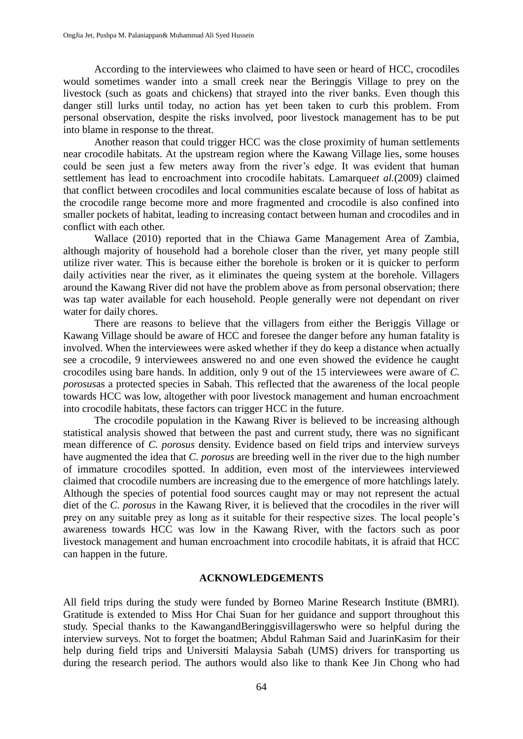According to the interviewees who claimed to have seen or heard of HCC, crocodiles would sometimes wander into a small creek near the Beringgis Village to prey on the livestock (such as goats and chickens) that strayed into the river banks. Even though this danger still lurks until today, no action has yet been taken to curb this problem. From personal observation, despite the risks involved, poor livestock management has to be put into blame in response to the threat.

Another reason that could trigger HCC was the close proximity of human settlements near crocodile habitats. At the upstream region where the Kawang Village lies, some houses could be seen just a few meters away from the river's edge. It was evident that human settlement has lead to encroachment into crocodile habitats. Lamarque*et al.*(2009) claimed that conflict between crocodiles and local communities escalate because of loss of habitat as the crocodile range become more and more fragmented and crocodile is also confined into smaller pockets of habitat, leading to increasing contact between human and crocodiles and in conflict with each other.

Wallace (2010) reported that in the Chiawa Game Management Area of Zambia, although majority of household had a borehole closer than the river, yet many people still utilize river water. This is because either the borehole is broken or it is quicker to perform daily activities near the river, as it eliminates the queing system at the borehole. Villagers around the Kawang River did not have the problem above as from personal observation; there was tap water available for each household. People generally were not dependant on river water for daily chores.

There are reasons to believe that the villagers from either the Beriggis Village or Kawang Village should be aware of HCC and foresee the danger before any human fatality is involved. When the interviewees were asked whether if they do keep a distance when actually see a crocodile, 9 interviewees answered no and one even showed the evidence he caught crocodiles using bare hands. In addition, only 9 out of the 15 interviewees were aware of *C. porosus*as a protected species in Sabah. This reflected that the awareness of the local people towards HCC was low, altogether with poor livestock management and human encroachment into crocodile habitats, these factors can trigger HCC in the future.

The crocodile population in the Kawang River is believed to be increasing although statistical analysis showed that between the past and current study, there was no significant mean difference of *C. porosus* density. Evidence based on field trips and interview surveys have augmented the idea that *C. porosus* are breeding well in the river due to the high number of immature crocodiles spotted. In addition, even most of the interviewees interviewed claimed that crocodile numbers are increasing due to the emergence of more hatchlings lately. Although the species of potential food sources caught may or may not represent the actual diet of the *C. porosus* in the Kawang River, it is believed that the crocodiles in the river will prey on any suitable prey as long as it suitable for their respective sizes. The local people's awareness towards HCC was low in the Kawang River, with the factors such as poor livestock management and human encroachment into crocodile habitats, it is afraid that HCC can happen in the future.

### **ACKNOWLEDGEMENTS**

All field trips during the study were funded by Borneo Marine Research Institute (BMRI). Gratitude is extended to Miss Hor Chai Suan for her guidance and support throughout this study. Special thanks to the KawangandBeringgisvillagerswho were so helpful during the interview surveys. Not to forget the boatmen; Abdul Rahman Said and JuarinKasim for their help during field trips and Universiti Malaysia Sabah (UMS) drivers for transporting us during the research period. The authors would also like to thank Kee Jin Chong who had